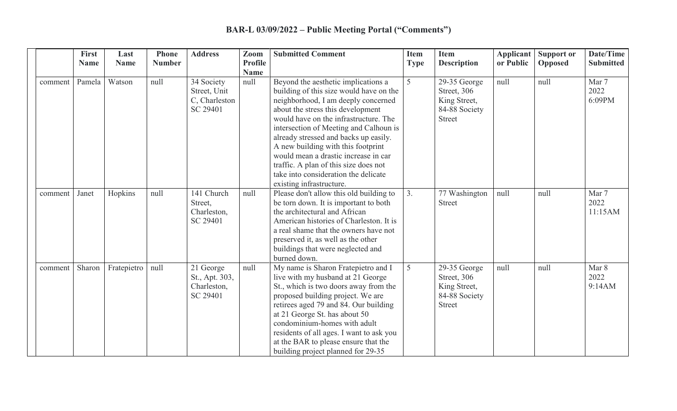|         | <b>First</b><br><b>Name</b> | Last<br><b>Name</b> | <b>Phone</b><br><b>Number</b> | <b>Address</b>                                          | Zoom<br><b>Profile</b> | <b>Submitted Comment</b>                                                                                                                                                                                                                                                                                                                                                                                                                                                          | <b>Item</b><br><b>Type</b> | <b>Item</b><br><b>Description</b>                                             | <b>Applicant</b><br>or Public | <b>Support or</b><br><b>Opposed</b> | Date/Time<br><b>Submitted</b> |
|---------|-----------------------------|---------------------|-------------------------------|---------------------------------------------------------|------------------------|-----------------------------------------------------------------------------------------------------------------------------------------------------------------------------------------------------------------------------------------------------------------------------------------------------------------------------------------------------------------------------------------------------------------------------------------------------------------------------------|----------------------------|-------------------------------------------------------------------------------|-------------------------------|-------------------------------------|-------------------------------|
|         |                             |                     |                               |                                                         | <b>Name</b>            |                                                                                                                                                                                                                                                                                                                                                                                                                                                                                   |                            |                                                                               |                               |                                     |                               |
| comment | Pamela                      | Watson              | null                          | 34 Society<br>Street, Unit<br>C, Charleston<br>SC 29401 | null                   | Beyond the aesthetic implications a<br>building of this size would have on the<br>neighborhood, I am deeply concerned<br>about the stress this development<br>would have on the infrastructure. The<br>intersection of Meeting and Calhoun is<br>already stressed and backs up easily.<br>A new building with this footprint<br>would mean a drastic increase in car<br>traffic. A plan of this size does not<br>take into consideration the delicate<br>existing infrastructure. | 5                          | 29-35 George<br>Street, 306<br>King Street,<br>84-88 Society<br><b>Street</b> | null                          | null                                | Mar 7<br>2022<br>6:09PM       |
| comment | Janet                       | Hopkins             | null                          | 141 Church<br>Street,<br>Charleston,<br>SC 29401        | null                   | Please don't allow this old building to<br>be torn down. It is important to both<br>the architectural and African<br>American histories of Charleston. It is<br>a real shame that the owners have not<br>preserved it, as well as the other<br>buildings that were neglected and<br>burned down.                                                                                                                                                                                  | 3.                         | 77 Washington<br>Street                                                       | null                          | null                                | Mar 7<br>2022<br>11:15AM      |
| comment | Sharon                      | Fratepietro         | null                          | 21 George<br>St., Apt. 303,<br>Charleston,<br>SC 29401  | null                   | My name is Sharon Fratepietro and I<br>live with my husband at 21 George<br>St., which is two doors away from the<br>proposed building project. We are<br>retirees aged 79 and 84. Our building<br>at 21 George St. has about 50<br>condominium-homes with adult<br>residents of all ages. I want to ask you<br>at the BAR to please ensure that the<br>building project planned for 29-35                                                                                        | 5                          | 29-35 George<br>Street, 306<br>King Street,<br>84-88 Society<br><b>Street</b> | null                          | null                                | Mar 8<br>2022<br>9:14AM       |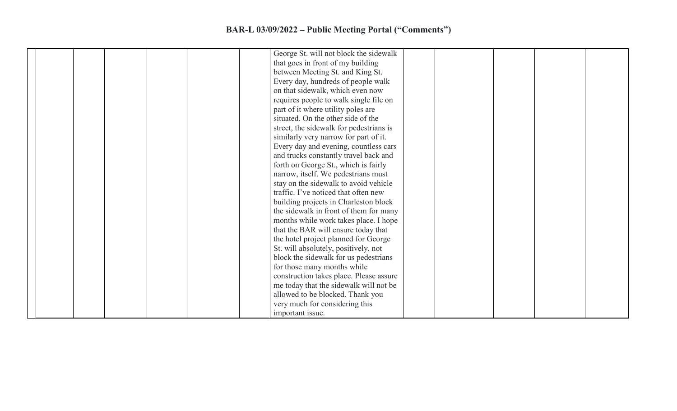| George St. will not block the sidewalk  |
|-----------------------------------------|
| that goes in front of my building       |
|                                         |
| between Meeting St. and King St.        |
| Every day, hundreds of people walk      |
| on that sidewalk, which even now        |
| requires people to walk single file on  |
| part of it where utility poles are      |
| situated. On the other side of the      |
| street, the sidewalk for pedestrians is |
| similarly very narrow for part of it.   |
| Every day and evening, countless cars   |
| and trucks constantly travel back and   |
| forth on George St., which is fairly    |
| narrow, itself. We pedestrians must     |
| stay on the sidewalk to avoid vehicle   |
| traffic. I've noticed that often new    |
| building projects in Charleston block   |
| the sidewalk in front of them for many  |
| months while work takes place. I hope   |
| that the BAR will ensure today that     |
| the hotel project planned for George    |
| St. will absolutely, positively, not    |
| block the sidewalk for us pedestrians   |
| for those many months while             |
| construction takes place. Please assure |
|                                         |
| me today that the sidewalk will not be  |
| allowed to be blocked. Thank you        |
| very much for considering this          |
| important issue.                        |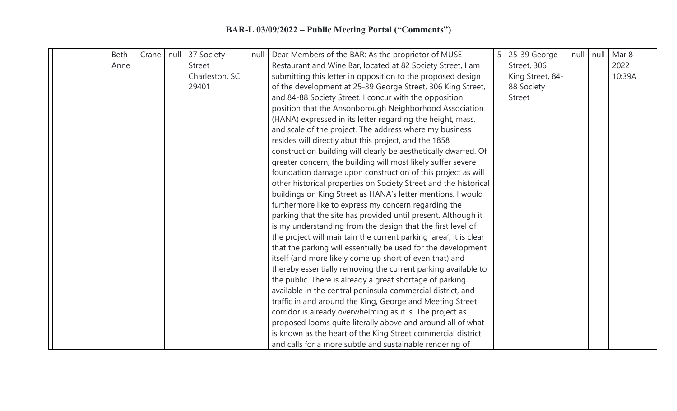|  | <b>Beth</b> | Crane   null | 37 Society     | null | Dear Members of the BAR: As the proprietor of MUSE                | 5 | 25-39 George     | null | null | Mar 8  |  |
|--|-------------|--------------|----------------|------|-------------------------------------------------------------------|---|------------------|------|------|--------|--|
|  | Anne        |              | <b>Street</b>  |      | Restaurant and Wine Bar, located at 82 Society Street, I am       |   | Street, 306      |      |      | 2022   |  |
|  |             |              | Charleston, SC |      | submitting this letter in opposition to the proposed design       |   | King Street, 84- |      |      | 10:39A |  |
|  |             |              | 29401          |      | of the development at 25-39 George Street, 306 King Street,       |   | 88 Society       |      |      |        |  |
|  |             |              |                |      | and 84-88 Society Street. I concur with the opposition            |   | <b>Street</b>    |      |      |        |  |
|  |             |              |                |      | position that the Ansonborough Neighborhood Association           |   |                  |      |      |        |  |
|  |             |              |                |      | (HANA) expressed in its letter regarding the height, mass,        |   |                  |      |      |        |  |
|  |             |              |                |      | and scale of the project. The address where my business           |   |                  |      |      |        |  |
|  |             |              |                |      | resides will directly abut this project, and the 1858             |   |                  |      |      |        |  |
|  |             |              |                |      | construction building will clearly be aesthetically dwarfed. Of   |   |                  |      |      |        |  |
|  |             |              |                |      | greater concern, the building will most likely suffer severe      |   |                  |      |      |        |  |
|  |             |              |                |      | foundation damage upon construction of this project as will       |   |                  |      |      |        |  |
|  |             |              |                |      | other historical properties on Society Street and the historical  |   |                  |      |      |        |  |
|  |             |              |                |      | buildings on King Street as HANA's letter mentions. I would       |   |                  |      |      |        |  |
|  |             |              |                |      | furthermore like to express my concern regarding the              |   |                  |      |      |        |  |
|  |             |              |                |      | parking that the site has provided until present. Although it     |   |                  |      |      |        |  |
|  |             |              |                |      | is my understanding from the design that the first level of       |   |                  |      |      |        |  |
|  |             |              |                |      | the project will maintain the current parking 'area', it is clear |   |                  |      |      |        |  |
|  |             |              |                |      | that the parking will essentially be used for the development     |   |                  |      |      |        |  |
|  |             |              |                |      | itself (and more likely come up short of even that) and           |   |                  |      |      |        |  |
|  |             |              |                |      | thereby essentially removing the current parking available to     |   |                  |      |      |        |  |
|  |             |              |                |      | the public. There is already a great shortage of parking          |   |                  |      |      |        |  |
|  |             |              |                |      | available in the central peninsula commercial district, and       |   |                  |      |      |        |  |
|  |             |              |                |      | traffic in and around the King, George and Meeting Street         |   |                  |      |      |        |  |
|  |             |              |                |      | corridor is already overwhelming as it is. The project as         |   |                  |      |      |        |  |
|  |             |              |                |      | proposed looms quite literally above and around all of what       |   |                  |      |      |        |  |
|  |             |              |                |      | is known as the heart of the King Street commercial district      |   |                  |      |      |        |  |
|  |             |              |                |      | and calls for a more subtle and sustainable rendering of          |   |                  |      |      |        |  |